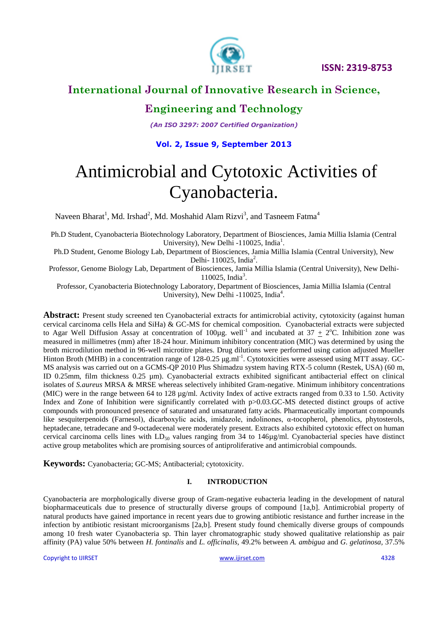

# **International Journal of Innovative Research in Science,**

# **Engineering and Technology**

*(An ISO 3297: 2007 Certified Organization)*

#### **Vol. 2, Issue 9, September 2013**

# Antimicrobial and Cytotoxic Activities of Cyanobacteria.

Naveen Bharat<sup>1</sup>, Md. Irshad<sup>2</sup>, Md. Moshahid Alam Rizvi<sup>3</sup>, and Tasneem Fatma<sup>4</sup>

Ph.D Student, Cyanobacteria Biotechnology Laboratory, Department of Biosciences, Jamia Millia Islamia (Central University), New Delhi -110025, India<sup>1</sup>.

Ph.D Student, Genome Biology Lab, Department of Biosciences, Jamia Millia Islamia (Central University), New Delhi-  $110025$ , India<sup>2</sup>.

Professor, Genome Biology Lab, Department of Biosciences, Jamia Millia Islamia (Central University), New Delhi-110025, India<sup>3</sup>.

Professor, Cyanobacteria Biotechnology Laboratory, Department of Biosciences, Jamia Millia Islamia (Central University), New Delhi -110025, India<sup>4</sup>.

**Abstract:** Present study screened ten Cyanobacterial extracts for antimicrobial activity, cytotoxicity (against human cervical carcinoma cells Hela and SiHa) & GC-MS for chemical composition. Cyanobacterial extracts were subjected to Agar Well Diffusion Assay at concentration of 100 $\mu$ g. well<sup>-1</sup> and incubated at 37  $\pm$  2°C. Inhibition zone was measured in millimetres (mm) after 18-24 hour. Minimum inhibitory concentration (MIC) was determined by using the broth microdilution method in 96-well microtitre plates. Drug dilutions were performed using cation adjusted Mueller Hinton Broth (MHB) in a concentration range of 128-0.25 μg.ml<sup>-1</sup>. Cytotoxicities were assessed using MTT assay. GC-MS analysis was carried out on a GCMS-QP 2010 Plus Shimadzu system having RTX-5 column (Restek, USA) (60 m, ID 0.25mm, film thickness 0.25 µm). Cyanobacterial extracts exhibited significant antibacterial effect on clinical isolates of *S.aureus* MRSA & MRSE whereas selectively inhibited Gram-negative. Minimum inhibitory concentrations (MIC) were in the range between 64 to 128 µg/ml. Activity Index of active extracts ranged from 0.33 to 1.50. Activity Index and Zone of Inhibition were significantly correlated with p>0.03.GC-MS detected distinct groups of active compounds with pronounced presence of saturated and unsaturated fatty acids. Pharmaceutically important compounds like sesquiterpenoids (Farnesol), dicarboxylic acids, imidazole, indolinones, α-tocopherol, phenolics, phytosterols, heptadecane, tetradecane and 9-octadecenal were moderately present. Extracts also exhibited cytotoxic effect on human cervical carcinoma cells lines with  $LD_{50}$  values ranging from 34 to 146 $\mu$ g/ml. Cyanobacterial species have distinct active group metabolites which are promising sources of antiproliferative and antimicrobial compounds.

**Keywords:** Cyanobacteria; GC-MS; Antibacterial; cytotoxicity.

#### **I. INTRODUCTION**

Cyanobacteria are morphologically diverse group of Gram-negative eubacteria leading in the development of natural biopharmaceuticals due to presence of structurally diverse groups of compound [1a,b]. Antimicrobial property of natural products have gained importance in recent years due to growing antibiotic resistance and further increase in the infection by antibiotic resistant microorganisms [2a,b]. Present study found chemically diverse groups of compounds among 10 fresh water Cyanobacteria sp. Thin layer chromatographic study showed qualitative relationship as pair affinity (PA) value 50% between *H. fontinalis* and *L. officinalis,* 49.2% between *A. ambigua* and *G. gelatinosa,* 37.5%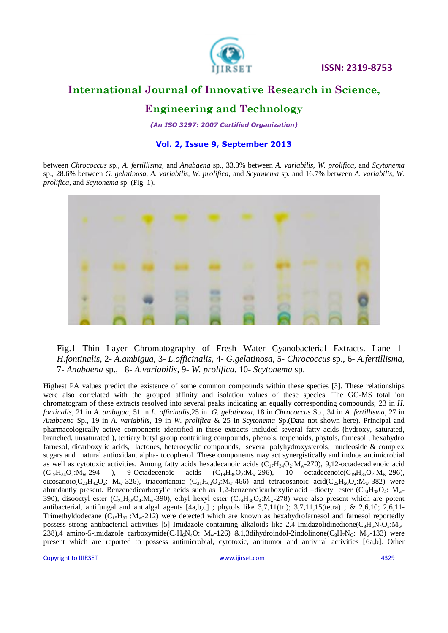

### **International Journal of Innovative Research in Science,**

### **Engineering and Technology**

*(An ISO 3297: 2007 Certified Organization)*

#### **Vol. 2, Issue 9, September 2013**

between *Chrococcus* sp*.*, *A. fertillisma,* and *Anabaena* sp*.,* 33.3% between *A. variabilis, W. prolifica,* and *Scytonema*  sp.*,* 28.6% between *G. gelatinosa, A. variabilis, W. prolifica,* and *Scytonema* sp*.* and 16.7% between *A. variabilis, W. prolifica,* and *Scytonema* sp. (Fig. 1)*.*



Fig.1 Thin Layer Chromatography of Fresh Water Cyanobacterial Extracts. Lane 1- *H.fontinalis*, 2- *A.ambigua*, 3- *L.officinalis*, 4- *G.gelatinosa*, 5- *Chrococcus* sp., 6- *A.fertillisma*, 7- *Anabaena* sp., 8- *A.variabilis*, 9- *W. prolifica*, 10- *Scytonema* sp.

Highest PA values predict the existence of some common compounds within these species [3]. These relationships were also correlated with the grouped affinity and isolation values of these species. The GC-MS total ion chromatogram of these extracts resolved into several peaks indicating an equally corresponding compounds; 23 in *H. fontinalis*, 21 in *A. ambigua,* 51 in *L. officinalis*,25 in *G. gelatinosa*, 18 in *Chrococcus* Sp., 34 in *A. fertillisma*, 27 in *Anabaena* Sp., 19 in *A. variabilis*, 19 in *W. prolifica* & 25 in *Scytonema* Sp.(Data not shown here). Principal and pharmacologically active components identified in these extracts included several fatty acids (hydroxy, saturated, branched, unsaturated ), tertiary butyl group containing compounds, phenols, terpenoids, phytols, farnesol , hexahydro farnesol, dicarboxylic acids, lactones, heterocyclic compounds, several polyhydroxysterols, nucleoside & complex sugars and natural antioxidant alpha- tocopherol. These components may act synergistically and induce antimicrobial as well as cytotoxic activities. Among fatty acids hexadecanoic acids  $(C_{17}H_{34}O_2:M_w-270)$ , 9,12-octadecadienoic acid<br> $(C_{19}H_{34}O_2:M_w-296)$ , 9-Octadecenoic acids  $(C_{19}H_{36}O_2:M_w-296)$ , 10 octadecenoic $(C_{19}H_{36}O_2:M_w (C_{19}H_{34}O_2:M_w-294$  ), 9-Octadecenoic acids  $(C_{19}H_{36}O_2:M_w-296)$ , 10 octadecenoic $(C_{19}H_{36}O_2:M_w-296)$ , eicosanoic(C<sub>21</sub>H<sub>42</sub>O<sub>2</sub>: M<sub>w</sub>-326), triacontanoic (C<sub>31</sub>H<sub>62</sub>O<sub>2</sub>:M<sub>w</sub>-466) and tetracosanoic acid(C<sub>25</sub>H<sub>50</sub>O<sub>2</sub>:M<sub>w</sub>-382) were abundantly present. Benzenedicarboxylic acids such as 1,2-benzenedicarboxylic acid -dioctyl ester ( $C_{24}H_{38}O_4$ :  $M_w$ -390), disooctyl ester (C<sub>24</sub>H<sub>38</sub>O<sub>4</sub>:M<sub>w</sub>-390), ethyl hexyl ester (C<sub>24</sub>H<sub>38</sub>O<sub>4</sub>:M<sub>w</sub>-278) were also present which are potent antibacterial, antifungal and antialgal agents [4a,b,c] ; phytols like 3,7,11(tri); 3,7,11,15(tetra) ; & 2,6,10; 2,6,11- Trimethyldodecane  $(C_{15}H_{32}$  : $M_w$ -212) were detected which are known as hexahydrofarnesol and farnesol reportedly possess strong antibacterial activities [5] Imidazole containing alkaloids like 2,4-Imidazolidinedione( $C_8H_6N_4O_5$ : $M_w$ -238),4 amino-5-imidazole carboxymide( $C_4H_6N_4O$ :  $M_w-126$ ) &1,3dihydroindol-2indolinone( $C_8H_7N_0$ :  $M_w-133$ ) were present which are reported to possess antimicrobial, cytotoxic, antitumor and antiviral activities [6a,b]. Other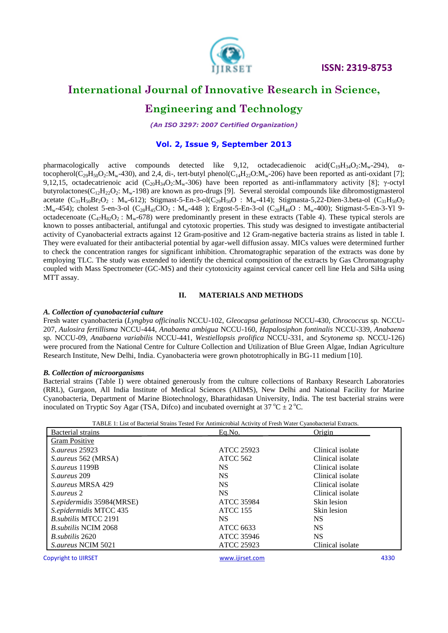

### **Engineering and Technology**

*(An ISO 3297: 2007 Certified Organization)*

#### **Vol. 2, Issue 9, September 2013**

pharmacologically active compounds detected like 9,12, octadecadienoic acid( $C_{19}H_{34}O_2:M_w-294$ ),  $\alpha$ tocopherol( $C_{29}H_{50}O_2$ : $M_w$ -430), and 2,4, di-, tert-butyl phenol( $C_{14}H_{22}O$ : $M_w$ -206) have been reported as anti-oxidant [7]; 9,12,15, octadecatrienoic acid (C<sub>20</sub>H<sub>34</sub>O<sub>2</sub>:M<sub>w</sub>-306) have been reported as anti-inflammatory activity [8]; γ-octyl butyrolactones( $C_{12}H_{22}O_2$ : M<sub>w</sub>-198) are known as pro-drugs [9]. Several steroidal compounds like dibromostigmasterol acetate  $(C_{31}H_{50}Br_2O_2$ :  $M_w-612$ ); Stigmast-5-En-3-ol( $C_{29}H_{50}O$ :  $M_w-414$ ); Stigmasta-5,22-Dien-3.beta-ol ( $C_{31}H_{50}O_2$ : $M_w$ -454); cholest 5-en-3-ol (C<sub>28</sub>H<sub>45</sub>ClO<sub>2</sub>: M<sub>w</sub>-448); Ergost-5-En-3-ol (C<sub>28</sub>H<sub>48</sub>O : M<sub>w</sub>-400); Stigmast-5-En-3-Yl 9octadecenoate  $(C_{47}H_{82}O_2$ :  $M_w$ -678) were predominantly present in these extracts (Table 4). These typical sterols are known to posses antibacterial, antifungal and cytotoxic properties. This study was designed to investigate antibacterial activity of Cyanobacterial extracts against 12 Gram-positive and 12 Gram-negative bacteria strains as listed in table I. They were evaluated for their antibacterial potential by agar-well diffusion assay. MICs values were determined further to check the concentration ranges for significant inhibition. Chromatographic separation of the extracts was done by employing TLC. The study was extended to identify the chemical composition of the extracts by Gas Chromatography coupled with Mass Spectrometer (GC-MS) and their cytotoxicity against cervical cancer cell line Hela and SiHa using MTT assay.

#### **II. MATERIALS AND METHODS**

#### *A. Collection of cyanobacterial culture*

Fresh water cyanobacteria (*Lyngbya officinalis* NCCU-102, *Gleocapsa gelatinosa* NCCU-430, *Chrococcus* sp*.* NCCU-207, *Aulosira fertillisma* NCCU-444, *Anabaena ambigua* NCCU-160, *Hapalosiphon fontinalis* NCCU-339, *Anabaena*  sp*.* NCCU-09, *Anabaena variabilis* NCCU-441, *Westiellopsis prolifica* NCCU-331, and *Scytonema* sp*.* NCCU-126) were procured from the National Centre for Culture Collection and Utilization of Blue Green Algae, Indian Agriculture Research Institute, New Delhi, India. Cyanobacteria were grown phototrophically in BG-11 medium [10].

#### *B. Collection of microorganisms*

Bacterial strains (Table I) were obtained generously from the culture collections of Ranbaxy Research Laboratories (RRL), Gurgaon, All India Institute of Medical Sciences (AIIMS), New Delhi and National Facility for Marine Cyanobacteria, Department of Marine Biotechnology, Bharathidasan University, India. The test bacterial strains were inoculated on Tryptic Soy Agar (TSA, Difco) and incubated overnight at  $37^{\circ}C \pm 2^{\circ}C$ .

| TABLE 1: List of Bacterial Strains Tested For Antimicrobial Activity of Fresh Water Cyanobacterial Extracts. |  |
|--------------------------------------------------------------------------------------------------------------|--|
|                                                                                                              |  |

| Bacterial strains            | Eq.No.            | Origin           |
|------------------------------|-------------------|------------------|
| <b>Gram Positive</b>         |                   |                  |
| <i>S. aureus</i> 25923       | <b>ATCC 25923</b> | Clinical isolate |
| S.aureus 562 (MRSA)          | ATCC 562          | Clinical isolate |
| S.aureus 1199B               | <b>NS</b>         | Clinical isolate |
| S. aureus 209                | <b>NS</b>         | Clinical isolate |
| S. aureus MRSA 429           | <b>NS</b>         | Clinical isolate |
| S. aureus 2                  | <b>NS</b>         | Clinical isolate |
| S.epidermidis 35984(MRSE)    | <b>ATCC 35984</b> | Skin lesion      |
| S.epidermidis MTCC 435       | <b>ATCC 155</b>   | Skin lesion      |
| <b>B.</b> subtilis MTCC 2191 | NS.               | NS.              |
| <i>B. subtilis NCIM 2068</i> | <b>ATCC 6633</b>  | <b>NS</b>        |
| <i>B. subtilis</i> 2620      | ATCC 35946        | <b>NS</b>        |
| <i>S.aureus NCIM 5021</i>    | <b>ATCC 25923</b> | Clinical isolate |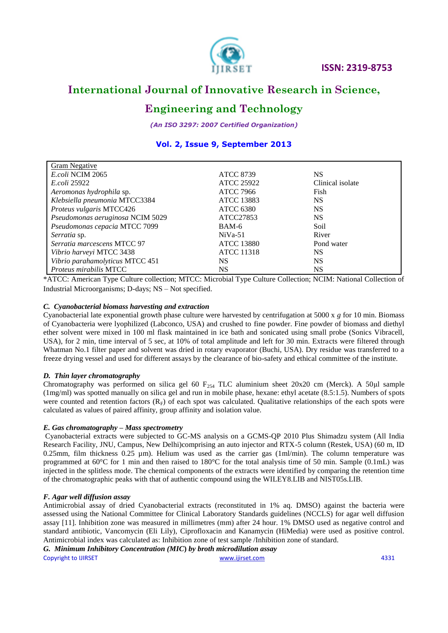

# **Engineering and Technology**

*(An ISO 3297: 2007 Certified Organization)*

### **Vol. 2, Issue 9, September 2013**

| <b>Gram Negative</b>             |                   |                  |
|----------------------------------|-------------------|------------------|
| E.coli NCIM 2065                 | <b>ATCC 8739</b>  | <b>NS</b>        |
| <i>E.coli</i> 25922              | <b>ATCC 25922</b> | Clinical isolate |
| Aeromonas hydrophila sp.         | <b>ATCC 7966</b>  | Fish             |
| Klebsiella pneumonia MTCC3384    | <b>ATCC 13883</b> | <b>NS</b>        |
| Proteus vulgaris MTCC426         | <b>ATCC 6380</b>  | <b>NS</b>        |
| Pseudomonas aeruginosa NCIM 5029 | ATCC27853         | <b>NS</b>        |
| Pseudomonas cepacia MTCC 7099    | BAM-6             | Soil             |
| Serratia sp.                     | $NiVa-51$         | River            |
| Serratia marcescens MTCC 97      | <b>ATCC 13880</b> | Pond water       |
| Vibrio harveyi MTCC 3438         | <b>ATCC 11318</b> | <b>NS</b>        |
| Vibrio parahamolyticus MTCC 451  | NS.               | <b>NS</b>        |
| Proteus mirabilis MTCC           | NS                | NS               |

\*ATCC: American Type Culture collection; MTCC: Microbial Type Culture Collection; NCIM: National Collection of Industrial Microorganisms; D-days; NS – Not specified.

#### *C. Cyanobacterial biomass harvesting and extraction*

Cyanobacterial late exponential growth phase culture were harvested by centrifugation at 5000 x *g* for 10 min. Biomass of Cyanobacteria were lyophilized (Labconco, USA) and crushed to fine powder. Fine powder of biomass and diethyl ether solvent were mixed in 100 ml flask maintained in ice bath and sonicated using small probe (Sonics Vibracell, USA), for 2 min, time interval of 5 sec, at 10% of total amplitude and left for 30 min. Extracts were filtered through Whatman No.1 filter paper and solvent was dried in rotary evaporator (Buchi, USA). Dry residue was transferred to a freeze drying vessel and used for different assays by the clearance of bio-safety and ethical committee of the institute.

#### *D. Thin layer chromatography*

Chromatography was performed on silica gel 60  $F_{254}$  TLC aluminium sheet 20x20 cm (Merck). A 50µl sample (1mg/ml) was spotted manually on silica gel and run in mobile phase, hexane: ethyl acetate (8.5:1.5). Numbers of spots were counted and retention factors  $(R_F)$  of each spot was calculated. Qualitative relationships of the each spots were calculated as values of paired affinity, group affinity and isolation value.

#### *E. Gas chromatography – Mass spectrometry*

Cyanobacterial extracts were subjected to GC-MS analysis on a GCMS-QP 2010 Plus Shimadzu system (All India Research Facility, JNU, Campus, New Delhi)comprising an auto injector and RTX-5 column (Restek, USA) (60 m, ID 0.25mm, film thickness 0.25  $\mu$ m). Helium was used as the carrier gas (1ml/min). The column temperature was programmed at 60°C for 1 min and then raised to 180°C for the total analysis time of 50 min. Sample (0.1mL) was injected in the splitless mode. The chemical components of the extracts were identified by comparing the retention time of the chromatographic peaks with that of authentic compound using the WILEY8.LIB and NIST05s.LIB.

#### *F. Agar well diffusion assay*

Antimicrobial assay of dried Cyanobacterial extracts (reconstituted in 1% aq. DMSO) against the bacteria were assessed using the National Committee for Clinical Laboratory Standards guidelines (NCCLS) for agar well diffusion assay [11]. Inhibition zone was measured in millimetres (mm) after 24 hour. 1% DMSO used as negative control and standard antibiotic, Vancomycin (Eli Lily), Ciprofloxacin and Kanamycin (HiMedia) were used as positive control. Antimicrobial index was calculated as: Inhibition zone of test sample /Inhibition zone of standard.

Copyright to IJIRSET [www.ijirset.com](http://www.ijirset.com/) 4331 *G. Minimum Inhibitory Concentration (MIC***)** *by broth microdilution assay*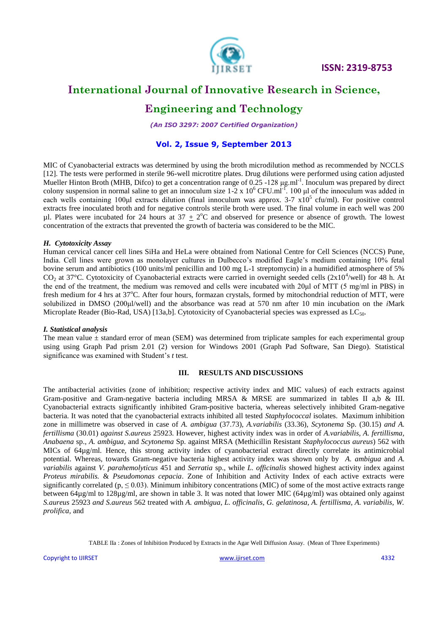

### **International Journal of Innovative Research in Science,**

# **Engineering and Technology**

*(An ISO 3297: 2007 Certified Organization)*

#### **Vol. 2, Issue 9, September 2013**

MIC of Cyanobacterial extracts was determined by using the broth microdilution method as recommended by NCCLS [12]. The tests were performed in sterile 96-well microtitre plates. Drug dilutions were performed using cation adjusted Mueller Hinton Broth (MHB, Difco) to get a concentration range of 0.25 -128 μg.ml<sup>-1</sup>. Inoculum was prepared by direct colony suspension in normal saline to get an innoculum size  $1-2 \times 10^6$  CFU.ml<sup>-1</sup>. 100 μl of the innoculum was added in each wells containing 100 $\mu$ l extracts dilution (final innoculum was approx. 3-7 x10<sup>5</sup> cfu/ml). For positive control extracts free inoculated broth and for negative controls sterile broth were used. The final volume in each well was 200 µl. Plates were incubated for 24 hours at  $37 \pm 2$ °C and observed for presence or absence of growth. The lowest concentration of the extracts that prevented the growth of bacteria was considered to be the MIC.

#### *H. Cytotoxicity Assay*

Human cervical cancer cell lines SiHa and HeLa were obtained from National Centre for Cell Sciences (NCCS) Pune, India. Cell lines were grown as monolayer cultures in Dulbecco's modified Eagle's medium containing 10% fetal bovine serum and antibiotics (100 units/ml penicillin and 100 mg L-1 streptomycin) in a humidified atmosphere of 5%  $CO_2$  at 37°C. Cytotoxicity of Cyanobacterial extracts were carried in overnight seeded cells (2x10<sup>4</sup>/well) for 48 h. At the end of the treatment, the medium was removed and cells were incubated with 20μl of MTT (5 mg/ml in PBS) in fresh medium for 4 hrs at 37<sup>o</sup>C. After four hours, formazan crystals, formed by mitochondrial reduction of MTT, were solubilized in DMSO (200μl/well) and the absorbance was read at 570 nm after 10 min incubation on the *i*Mark Microplate Reader (Bio-Rad, USA) [13a,b]. Cytotoxicity of Cyanobacterial species was expressed as  $LC_{50}$ .

#### *I. Statistical analysis*

The mean value  $\pm$  standard error of mean (SEM) was determined from triplicate samples for each experimental group using using Graph Pad prism 2.01 (2) version for Windows 2001 (Graph Pad Software, San Diego). Statistical significance was examined with Student's *t* test.

#### **III. RESULTS AND DISCUSSIONS**

The antibacterial activities (zone of inhibition; respective activity index and MIC values) of each extracts against Gram-positive and Gram-negative bacteria including MRSA & MRSE are summarized in tables II a,b & III. Cyanobacterial extracts significantly inhibited Gram-positive bacteria, whereas selectively inhibited Gram-negative bacteria. It was noted that the cyanobacterial extracts inhibited all tested *Staphylococcal* isolates. Maximum inhibition zone in millimetre was observed in case of *A. ambigua* (37.73), *A.variabilis* (33.36)*, Scytonema* Sp. (30.15) *and A. fertillisma* (30.01) *against S.aureus* 25923*.* However, highest activity index was in order of *A.variabilis, A. fertillisma, Anabaena* sp.*, A. ambigua,* and *Scytonema* Sp. against MRSA (Methicillin Resistant *Staphylococcus aureus*) 562 with MICs of 64µg/ml. Hence, this strong activity index of cyanobacterial extract directly correlate its antimicrobial potential. Whereas, towards Gram-negative bacteria highest activity index was shown only by *A. ambigua* and *A. variabilis* against *V. parahemolyticus* 451 and *Serratia* sp., while *L. officinalis* showed highest activity index against *Proteus mirabilis.* & *Pseudomonas cepacia*. Zone of Inhibition and Activity Index of each active extracts were significantly correlated (p,  $\leq 0.03$ ). Minimum inhibitory concentrations (MIC) of some of the most active extracts range between  $64\mu g/ml$  to  $128\mu g/ml$ , are shown in table 3. It was noted that lower MIC ( $64\mu g/ml$ ) was obtained only against *S.aureus* 25923 *and S.aureus* 562 treated with *A. ambigua, L. officinalis, G. gelatinosa, A. fertillisma, A. variabilis, W. prolifica,* and

TABLE IIa : Zones of Inhibition Produced by Extracts in the Agar Well Diffusion Assay. (Mean of Three Experiments)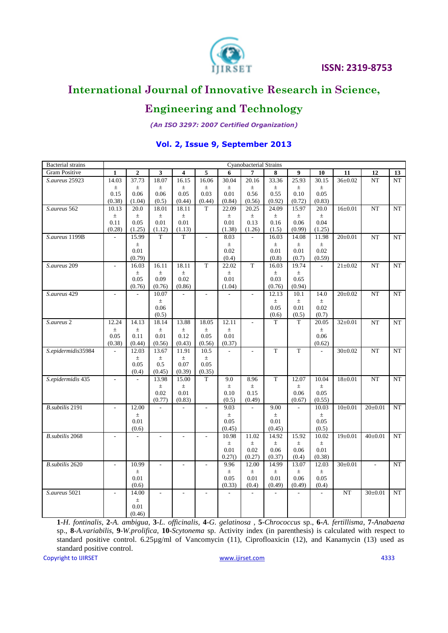

# **Engineering and Technology**

*(An ISO 3297: 2007 Certified Organization)*

### **Vol. 2, Issue 9, September 2013**

| <b>Bacterial</b> strains |                          |                |                |                         |             |                          | Cyanobacterial Strains |                |                  |                |               |               |             |
|--------------------------|--------------------------|----------------|----------------|-------------------------|-------------|--------------------------|------------------------|----------------|------------------|----------------|---------------|---------------|-------------|
| Gram Positive            | $\mathbf{1}$             | $\overline{2}$ | 3              | $\overline{\mathbf{4}}$ | 5           | 6                        | $\overline{7}$         | 8              | 9                | 10             | 11            | 12            | 13          |
| S.aureus 25923           | 14.03                    | 37.73          | 18.07          | 16.15                   | 16.06       | 30.04                    | 20.16                  | 33.36          | 25.93            | 30.15          | $36 \pm 0.02$ | NT            | NT          |
|                          | $\pm$                    | $\pm$          | $\pm$          | $\pm$                   | $\pm$       | $\pm$                    | $\pm$                  | $\pm$          | $\pm$            | $\pm$          |               |               |             |
|                          | 0.15                     | 0.06           | 0.06           | 0.05                    | 0.03        | 0.01                     | 0.56                   | 0.55           | 0.10             | 0.05           |               |               |             |
|                          | (0.38)                   | (1.04)         | (0.5)          | (0.44)                  | (0.44)      | (0.84)                   | (0.56)                 | (0.92)         | (0.72)           | (0.83)         |               |               |             |
| S.aureus 562             | 10.13                    | 20.0           | 18.01          | 18.11                   | $\mathbf T$ | 22.09                    | 20.25                  | 24.09          | 15.97            | 20.0           | $16 \pm 0.01$ | NT            | NT          |
|                          | $\pm$                    | $\pm$          | $\pm$          | $_{\pm}$                |             | $\pm$                    | $\pm$                  | $\pm$          | $\pm$            | $\pm$          |               |               |             |
|                          | 0.11                     | 0.05           | 0.01           | 0.01                    |             | 0.01                     | 0.13                   | 0.16           | 0.06             | 0.04           |               |               |             |
|                          | (0.28)                   | (1.25)         | (1.12)         | (1.13)                  |             | (1.38)                   | (1.26)                 | (1.5)          | (0.99)           | (1.25)         |               |               |             |
| S.aureus 1199B           |                          | 15.99          | T              | T                       | $\omega$    | 8.03                     |                        | 16.03          | 14.08            | 11.98          | $20 \pm 0.01$ | <b>NT</b>     | NT          |
|                          |                          | $\pm$          |                |                         |             | $^{\pm}$                 |                        | $\pm$          | $\pm$            | $\pm$          |               |               |             |
|                          |                          | 0.01<br>(0.79) |                |                         |             | 0.02<br>(0.4)            |                        | 0.01<br>(0.8)  | 0.01<br>(0.7)    | 0.02<br>(0.59) |               |               |             |
|                          |                          |                |                |                         | $\mathbf T$ |                          | T                      |                |                  | $\overline{a}$ |               |               |             |
| S.aureus 209             | $\overline{\phantom{a}}$ | 16.03<br>$\pm$ | 16.11<br>$\pm$ | 18.11                   |             | 22.02<br>$\pm$           |                        | 16.03<br>$\pm$ | 19.74            |                | $21 \pm 0.02$ | NT            | NT          |
|                          |                          | 0.05           | 0.09           | $\pm$<br>$0.02\,$       |             | $0.01\,$                 |                        | 0.03           | $\pm$<br>0.65    |                |               |               |             |
|                          |                          | (0.76)         | (0.76)         | (0.86)                  |             | (1.04)                   |                        | (0.76)         | (0.94)           |                |               |               |             |
| S.aureus 429             | $\sim$                   |                | 10.07          |                         | $\sim$      |                          | $\sim$                 | 12.13          | 10.1             | 14.0           | $20 \pm 0.02$ | $\rm{NT}$     | NT          |
|                          |                          |                | $\pm$          |                         |             |                          |                        | $\pm$          | $\pm$            | $\pm$          |               |               |             |
|                          |                          |                | 0.06           |                         |             |                          |                        | 0.05           | 0.01             | 0.02           |               |               |             |
|                          |                          |                | (0.5)          |                         |             |                          |                        | (0.6)          | (0.5)            | (0.7)          |               |               |             |
| S.aureus 2               | 12.24                    | 14.13          | 18.14          | 13.88                   | 18.05       | 12.11                    |                        | T              | T                | 20.05          | $32 \pm 0.01$ | NT            | $_{\rm NT}$ |
|                          | $\pm$                    | $\pm$          | $\pm$          | $_{\pm}$                | $_{\pm}$    | $\pm$                    |                        |                |                  | $\pm$          |               |               |             |
|                          | 0.05                     | 0.11           | 0.01           | 0.12                    | 0.05        | 0.01                     |                        |                |                  | $0.06\,$       |               |               |             |
|                          | (0.38)                   | (0.44)         | (0.56)         | (0.43)                  | (0.56)      | (0.37)                   |                        |                |                  | (0.62)         |               |               |             |
| S.epidermidis35984       | $\mathbf{r}$             | 12.03          | 13.67          | 11.91                   | 10.5        | $\overline{\phantom{a}}$ |                        | $\overline{T}$ | $\mathbf T$      |                | $30+0.02$     | NT            | NT          |
|                          |                          | $\pm$          | $\pm$          | $_{\pm}$                | $\pm$       |                          |                        |                |                  |                |               |               |             |
|                          |                          | 0.05           | 0.5            | 0.07                    | 0.05        |                          |                        |                |                  |                |               |               |             |
|                          |                          | (0.4)          | (0.45)         | (0.39)                  | (0.35)      |                          |                        |                |                  |                |               |               |             |
| S.epidermidis 435        | $\overline{\phantom{a}}$ | ÷.             | 13.98          | 15.00                   | $\mathbf T$ | 9.0                      | 8.96                   | $\mathbf T$    | 12.07            | 10.04          | $18 \pm 0.01$ | NT            | NT          |
|                          |                          |                | $\pm$          | $_{\pm}$                |             | $\pm$                    | $\pm$                  |                | $\pm$            | $\pm$          |               |               |             |
|                          |                          |                | 0.02           | 0.01                    |             | 0.10                     | 0.15                   |                | 0.06             | 0.05           |               |               |             |
|                          |                          |                | (0.77)         | (0.83)                  |             | (0.5)                    | (0.49)                 |                | (0.67)           | (0.55)         |               |               |             |
| B.subtilis 2191          | $\sim$                   | 12.00          |                |                         |             | 9.03                     |                        | 9.00           | $\sim$           | 10.03          | $10\pm0.01$   | $20 \pm 0.01$ | NT          |
|                          |                          | $\pm$          |                |                         |             | $\pm$                    |                        | $\pm$          |                  | $\pm$          |               |               |             |
|                          |                          | 0.01           |                |                         |             | 0.05                     |                        | 0.01           |                  | 0.05           |               |               |             |
|                          |                          | (0.6)          |                |                         |             | (0.45)                   |                        | (0.45)         |                  | (0.5)          |               |               |             |
| B.subtilis 2068          |                          |                |                |                         |             | 10.98                    | 11.02                  | 14.92          | 15.92            | 10.02          | $19 \pm 0.01$ | $40 \pm 0.01$ | NT          |
|                          |                          |                |                |                         |             | ±.                       | $\pm$                  | $\pm$          | $\pm$            | $\pm$          |               |               |             |
|                          |                          |                |                |                         |             | 0.01<br>0.27()           | 0.02<br>(0.27)         | 0.06<br>(0.37) | 0.06<br>(0.4)    | 0.01<br>(0.38) |               |               |             |
|                          |                          |                |                |                         |             |                          |                        |                |                  |                |               |               |             |
| B.subtilis 2620          |                          | 10.99          |                |                         |             | 9.96                     | 12.00                  | 14.99          | 13.07            | 12.03          | $30 \pm 0.01$ |               | NT          |
|                          |                          | $\pm$<br>0.01  |                |                         |             | $\pm$<br>0.05            | $\pm$<br>0.01          | $\pm$<br>0.01  | $^{\pm}$<br>0.06 | $\pm$<br>0.05  |               |               |             |
|                          |                          | (0.6)          |                |                         |             | (0.33)                   | (0.4)                  | (0.49)         | (0.49)           | (0.4)          |               |               |             |
| S.aureus 5021            |                          | 14.00          |                |                         |             |                          |                        |                |                  |                | NT            | $30 \pm 0.01$ | <b>NT</b>   |
|                          |                          | $\pm$          |                |                         |             |                          |                        |                |                  |                |               |               |             |
|                          |                          | 0.01           |                |                         |             |                          |                        |                |                  |                |               |               |             |
|                          |                          | (0.46)         |                |                         |             |                          |                        |                |                  |                |               |               |             |

**1**-*H. fontinalis*, **2***-A. ambigua*, **3**-*L. officinalis*, **4**-*G. gelatinosa* , **5**-*Chrococcus* sp., **6-***A. fertillisma*, **7**-*Anabaena* sp., **8**-*A.variabilis*, **9**-*W.prolifica*, **10**-*Scytonema* sp. Activity index (in parenthesis) is calculated with respect to standard positive control. 6.25µg/ml of Vancomycin (11), Ciprofloaxicin (12), and Kanamycin (13) used as standard positive control.

Copyright to IJIRSET **and Convertision** and Convertision and Convertision and Convertision and Convertision and Convertision and Convertision and Convertision and Convertision and Convertision and Convertision and Converti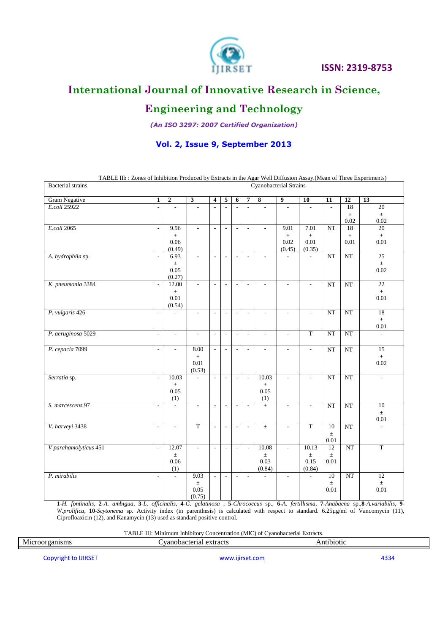

# **International Journal of Innovative Research in Science,**

# **Engineering and Technology**

*(An ISO 3297: 2007 Certified Organization)*

### **Vol. 2, Issue 9, September 2013**

| <b>Bacterial</b> strains | TABLE IIb: Zones of Inhibition Produced by Extracts in the Agar Well Diffusion Assay. (Mean of Three Experiments)<br>Cyanobacterial Strains |                          |                          |                          |                          |                          |                          |                          |                          |                          |                          |                 |                          |
|--------------------------|---------------------------------------------------------------------------------------------------------------------------------------------|--------------------------|--------------------------|--------------------------|--------------------------|--------------------------|--------------------------|--------------------------|--------------------------|--------------------------|--------------------------|-----------------|--------------------------|
|                          |                                                                                                                                             |                          |                          |                          |                          |                          |                          |                          |                          |                          |                          |                 |                          |
| Gram Negative            | $\mathbf{1}$                                                                                                                                | $\mathbf 2$              | $\overline{\mathbf{3}}$  | $\overline{\mathbf{4}}$  | 5                        | 6                        | 7                        | $\overline{\mathbf{8}}$  | $\overline{9}$           | 10                       | 11                       | $\overline{12}$ | $\overline{13}$          |
| E.coli 25922             | $\overline{\phantom{a}}$                                                                                                                    | $\overline{\phantom{a}}$ | $\overline{\phantom{a}}$ | $\sim$                   | $\overline{\phantom{a}}$ | $\overline{\phantom{a}}$ | $\overline{a}$           | $\overline{\phantom{a}}$ | $\overline{\phantom{a}}$ | $\overline{\phantom{a}}$ | $\overline{\phantom{a}}$ | 18              | 20                       |
|                          |                                                                                                                                             |                          |                          |                          |                          |                          |                          |                          |                          |                          |                          | $\pm$<br>0.02   | $\pm$<br>0.02            |
| E.coli 2065              | $\overline{a}$                                                                                                                              | 9.96                     |                          | $\overline{a}$           |                          |                          | $\overline{\phantom{a}}$ |                          | 9.01                     | 7.01                     | NT                       | 18              | 20                       |
|                          |                                                                                                                                             | $\pm$                    |                          |                          |                          |                          |                          |                          | $\pm$                    | $\pm$                    |                          | $\pm$           | $\pm$                    |
|                          |                                                                                                                                             | 0.06                     |                          |                          |                          |                          |                          |                          | 0.02                     | 0.01                     |                          | 0.01            | 0.01                     |
|                          |                                                                                                                                             | (0.49)                   |                          |                          |                          |                          |                          |                          | (0.45)                   | (0.35)                   |                          |                 |                          |
| A. hydrophila sp.        | $\sim$                                                                                                                                      | 6.93                     | $\overline{\phantom{a}}$ | $\overline{a}$           | $\overline{\phantom{a}}$ | $\overline{\phantom{a}}$ | $\overline{\phantom{a}}$ | $\overline{\phantom{a}}$ |                          | L.                       | NT                       | $\rm{NT}$       | $\overline{25}$          |
|                          |                                                                                                                                             | $\pm$                    |                          |                          |                          |                          |                          |                          |                          |                          |                          |                 | $\pm$                    |
|                          |                                                                                                                                             | 0.05                     |                          |                          |                          |                          |                          |                          |                          |                          |                          |                 | 0.02                     |
| K. pneumonia 3384        | $\overline{\phantom{a}}$                                                                                                                    | (0.27)<br>12.00          | $\overline{\phantom{a}}$ | $\overline{\phantom{a}}$ | ÷                        | ÷                        | $\overline{a}$           |                          | L.                       | L                        | NT                       | NT              | 22                       |
|                          |                                                                                                                                             | $\pm$                    |                          |                          |                          |                          |                          |                          |                          |                          |                          |                 | $\pm$                    |
|                          |                                                                                                                                             | 0.01                     |                          |                          |                          |                          |                          |                          |                          |                          |                          |                 | 0.01                     |
|                          |                                                                                                                                             | (0.54)                   |                          |                          |                          |                          |                          |                          |                          |                          |                          |                 |                          |
| P. vulgaris 426          | $\overline{a}$                                                                                                                              | $\overline{a}$           | $\overline{\phantom{a}}$ | $\overline{\phantom{a}}$ | $\overline{\phantom{a}}$ | $\sim$                   | $\overline{\phantom{a}}$ | $\overline{a}$           | $\overline{a}$           | L,                       | NT                       | $\rm{NT}$       | 18                       |
|                          |                                                                                                                                             |                          |                          |                          |                          |                          |                          |                          |                          |                          |                          |                 | $\pm$                    |
|                          |                                                                                                                                             |                          |                          |                          |                          |                          |                          |                          |                          |                          |                          |                 | $0.01\,$                 |
| P. aeruginosa 5029       | $\overline{\phantom{a}}$                                                                                                                    | $\overline{\phantom{a}}$ | $\overline{\phantom{a}}$ | $\overline{\phantom{a}}$ | $\overline{\phantom{a}}$ | $\overline{\phantom{a}}$ | $\overline{\phantom{a}}$ | $\overline{\phantom{a}}$ | $\overline{\phantom{a}}$ | $\overline{T}$           | $\overline{\text{NT}}$   | NT              | $\overline{\phantom{a}}$ |
|                          |                                                                                                                                             |                          |                          |                          |                          |                          |                          |                          |                          |                          |                          |                 |                          |
| P. cepacia 7099          | ÷,                                                                                                                                          |                          | 8.00                     | $\mathbf{r}$             |                          |                          | $\overline{\phantom{a}}$ |                          | $\overline{\phantom{a}}$ |                          | NT                       | $\rm{NT}$       | 15                       |
|                          |                                                                                                                                             |                          | $\pm$<br>0.01            |                          |                          |                          |                          |                          |                          |                          |                          |                 | $\pm$<br>0.02            |
|                          |                                                                                                                                             |                          | (0.53)                   |                          |                          |                          |                          |                          |                          |                          |                          |                 |                          |
| Serratia sp.             | $\sim$                                                                                                                                      | 10.03                    | ÷                        | ÷,                       | ÷.                       | $\sim$                   | $\mathbb{Z}$             | 10.03                    | $\overline{\phantom{a}}$ | $\sim$                   | NT                       | NT              | $\overline{\phantom{a}}$ |
|                          |                                                                                                                                             | $\pm$                    |                          |                          |                          |                          |                          | $\pm$                    |                          |                          |                          |                 |                          |
|                          |                                                                                                                                             | 0.05                     |                          |                          |                          |                          |                          | 0.05                     |                          |                          |                          |                 |                          |
| S. marcescens 97         |                                                                                                                                             | (1)                      |                          |                          |                          |                          |                          | (1)                      |                          |                          |                          |                 | 10                       |
|                          | $\sim$                                                                                                                                      | $\overline{\phantom{a}}$ | $\overline{\phantom{a}}$ | $\overline{\phantom{a}}$ | $\overline{\phantom{a}}$ | $\overline{\phantom{a}}$ | $\overline{\phantom{a}}$ | $\pm$                    | $\overline{\phantom{a}}$ | $\overline{\phantom{a}}$ | $\rm{NT}$                | $\rm{NT}$       | $\pm$                    |
|                          |                                                                                                                                             |                          |                          |                          |                          |                          |                          |                          |                          |                          |                          |                 | 0.01                     |
| V. harveyi 3438          | $\overline{a}$                                                                                                                              | $\overline{a}$           | $\overline{T}$           | $\overline{\phantom{a}}$ | L.                       | ÷                        | $\overline{a}$           | $\pm$                    | $\overline{a}$           | $\overline{T}$           | 10                       | $\rm{NT}$       | $\sim$                   |
|                          |                                                                                                                                             |                          |                          |                          |                          |                          |                          |                          |                          |                          | $\pm$                    |                 |                          |
|                          |                                                                                                                                             |                          |                          |                          |                          |                          |                          |                          |                          |                          | 0.01                     |                 |                          |
| V parahamolyticus 451    | $\overline{\phantom{a}}$                                                                                                                    | 12.07                    | $\overline{a}$           | $\overline{a}$           | $\overline{\phantom{a}}$ | $\overline{\phantom{a}}$ | $\mathbf{r}$             | 10.08                    | $\frac{1}{2}$            | 10.13                    | 12                       | $\rm{NT}$       | $\overline{T}$           |
|                          |                                                                                                                                             | $\pm$<br>0.06            |                          |                          |                          |                          |                          | $\pm$<br>0.03            |                          | $\pm$                    | $\pm$<br>0.01            |                 |                          |
|                          |                                                                                                                                             | (1)                      |                          |                          |                          |                          |                          | (0.84)                   |                          | 0.15<br>(0.84)           |                          |                 |                          |
| P. mirabilis             | $\sim$                                                                                                                                      | $\mathcal{L}$            | 9.03                     | $\overline{\phantom{a}}$ | $\overline{\phantom{a}}$ | $\overline{\phantom{a}}$ | $\overline{\phantom{a}}$ | $\overline{a}$           | $\overline{\phantom{a}}$ | $\overline{a}$           | 10                       | NT              | 12                       |
|                          |                                                                                                                                             |                          | $\pm$                    |                          |                          |                          |                          |                          |                          |                          | $\pm$                    |                 | $\pm$                    |
|                          |                                                                                                                                             |                          | 0.05                     |                          |                          |                          |                          |                          |                          |                          | 0.01                     |                 | 0.01                     |
|                          |                                                                                                                                             |                          | (0.75)                   |                          |                          |                          |                          |                          |                          |                          |                          |                 |                          |

TABLE IIb : Zones of Inhibition Produced by Extracts in the Agar Well Diffusion Assay.(Mean of Three Experiments)

1-H. fontinalis, 2-A. ambigua, 3-L. officinalis, 4-G. gelatinosa, 5-Chrococcus sp., 6-A. fertillisma, 7-Anabaena sp., 8-A. variabilis, 9-*W.prolifica*, **10**-*Scytonema* sp. Activity index (in parenthesis) is calculated with respect to standard. 6.25µg/ml of Vancomycin (11), Ciprofloaxicin (12), and Kanamycin (13) used as standard positive control.

TABLE III: Minimum Inhibitory Concentration (MIC) of Cyanobacterial Extracts.

| Micro<br>the contract of the contract of the contract of | exifacts<br>- 14<br>. пат | п<br><br>the contract of the contract of the contract of the contract of the contract of the contract of the contract of |  |
|----------------------------------------------------------|---------------------------|--------------------------------------------------------------------------------------------------------------------------|--|
|                                                          |                           |                                                                                                                          |  |
|                                                          |                           |                                                                                                                          |  |

Copyright to IJIRSET **WWW.ijirset.com** [www.ijirset.com](http://www.ijirset.com/) 4334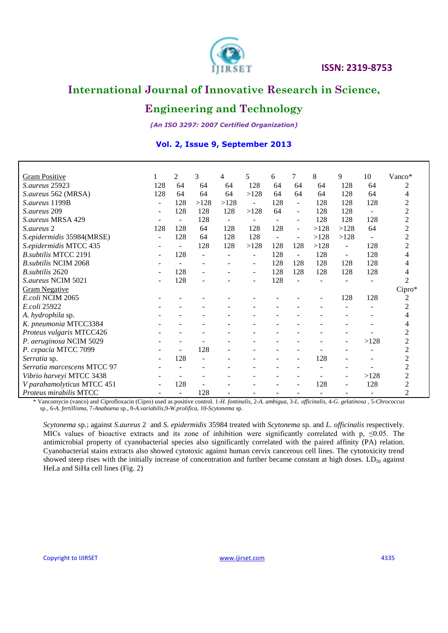

# **Engineering and Technology**

*(An ISO 3297: 2007 Certified Organization)*

#### **Vol. 2, Issue 9, September 2013**

| <b>Gram Positive</b>         |                | 2                            | 3    | 4    | 5                        | 6                        | $\tau$                   | 8    | 9                        | 10                       | $Vanco*$         |
|------------------------------|----------------|------------------------------|------|------|--------------------------|--------------------------|--------------------------|------|--------------------------|--------------------------|------------------|
| <i>S. aureus</i> 25923       | 128            | 64                           | 64   | 64   | 128                      | 64                       | 64                       | 64   | 128                      | 64                       | 2                |
| S.aureus 562 (MRSA)          | 128            | 64                           | 64   | 64   | >128                     | 64                       | 64                       | 64   | 128                      | 64                       | 4                |
| S. aureus 1199B              | $\blacksquare$ | 128                          | >128 | >128 | $\blacksquare$           | 128                      | $\blacksquare$           | 128  | 128                      | 128                      | 2                |
| S.aureus 209                 | $\blacksquare$ | 128                          | 128  | 128  | >128                     | 64                       | $\sim$                   | 128  | 128                      | $\overline{\phantom{a}}$ | 2                |
| S.aureus MRSA 429            |                | ٠                            | 128  |      | $\overline{\phantom{a}}$ | $\overline{\phantom{a}}$ |                          | 128  | 128                      | 128                      | $\overline{c}$   |
| S.aureus 2                   | 128            | 128                          | 64   | 128  | 128                      | 128                      | $\blacksquare$           | >128 | >128                     | 64                       | 2                |
| S.epidermidis 35984(MRSE)    | $\sim$         | 128                          | 64   | 128  | 128                      | $\blacksquare$           | $\blacksquare$           | >128 | >128                     | $\blacksquare$           | 2                |
| S.epidermidis MTCC 435       |                | $\qquad \qquad \blacksquare$ | 128  | 128  | >128                     | 128                      | 128                      | >128 |                          | 128                      | 2                |
| <b>B.subtilis MTCC 2191</b>  |                | 128                          |      |      |                          | 128                      | $\overline{\phantom{a}}$ | 128  |                          | 128                      | 4                |
| <b>B.</b> subtilis NCIM 2068 |                | $\blacksquare$               |      |      |                          | 128                      | 128                      | 128  | 128                      | 128                      | 4                |
| B.subtilis 2620              |                | 128                          |      |      | ٠                        | 128                      | 128                      | 128  | 128                      | 128                      |                  |
| S.aureus NCIM 5021           |                | 128                          |      |      |                          | 128                      |                          |      |                          |                          | $\mathfrak{D}$   |
| <b>Gram Negative</b>         |                |                              |      |      |                          |                          |                          |      |                          |                          | Cipro*           |
| E.coli NCIM 2065             |                |                              |      |      |                          |                          |                          |      | 128                      | 128                      | $\boldsymbol{2}$ |
| E.coli 25922                 |                |                              |      |      |                          |                          |                          |      |                          |                          | 2                |
| A. hydrophila sp.            |                |                              |      |      |                          |                          |                          |      |                          |                          | 4                |
| K. pneumonia MTCC3384        |                |                              |      |      |                          |                          |                          |      |                          |                          | 4                |
| Proteus vulgaris MTCC426     |                |                              |      |      |                          |                          |                          |      |                          |                          | 2                |
| P. aeruginosa NCIM 5029      |                |                              |      |      |                          |                          |                          |      |                          | >128                     | $\overline{c}$   |
| P. cepacia MTCC 7099         |                |                              | 128  |      |                          |                          |                          |      |                          |                          | 2                |
| Serratia sp.                 |                | 128                          |      |      |                          |                          |                          | 128  |                          |                          | $\overline{c}$   |
| Serratia marcescens MTCC 97  |                |                              |      |      |                          |                          |                          |      |                          |                          | 2                |
| Vibrio harveyi MTCC 3438     |                |                              |      |      |                          |                          |                          |      |                          | >128                     | 2                |
| V parahamolyticus MTCC 451   |                | 128                          |      |      |                          |                          |                          | 128  | $\overline{\phantom{a}}$ | 128                      | $\overline{c}$   |
| Proteus mirabilis MTCC       |                |                              | 128  |      |                          |                          |                          |      |                          |                          | 2                |

\* Vancomycin (vanco) and Ciprofloxacin (Cipro) used as positive control. 1-*H. fontinalis*, 2*-A. ambigua*, 3-*L. officinalis*, 4-*G. gelatinosa* , 5-*Chrococcus* sp., 6-*A. fertillisma*, 7-*Anabaena* sp., 8-*A.variabilis*,9-*W.prolifica*, 10-*Scytonema* sp.

*Scytonema* sp.; against *S.aureus* 2 and *S. epidermidis* 35984 treated with *Scytonema* sp. and *L. officinalis* respectively. MICs values of bioactive extracts and its zone of inhibition were significantly correlated with p,  $\leq 0.05$ . The antimicrobial property of cyanobacterial species also significantly correlated with the paired affinity (PA) relation. Cyanobacterial stains extracts also showed cytotoxic against human cervix cancerous cell lines. The cytotoxicity trend showed steep rises with the initially increase of concentration and further became constant at high doses.  $LD_{50}$  against HeLa and SiHa cell lines (Fig. 2)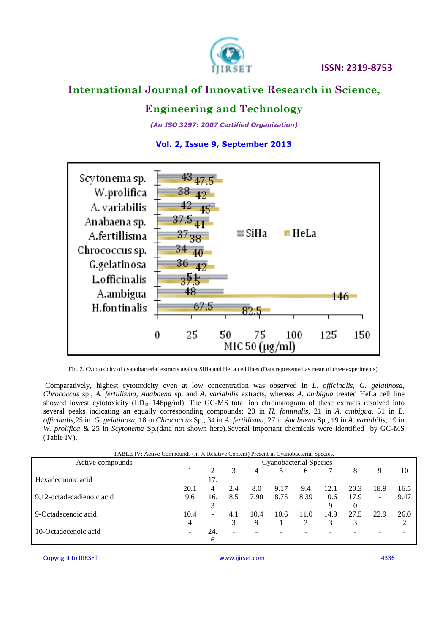

# **Engineering and Technology**

*(An ISO 3297: 2007 Certified Organization)*





Fig. 2. Cytotoxicity of cyanobacterial extracts against SiHa and HeLa cell lines (Data represented as mean of three experiments).

Comparatively, highest cytotoxicity even at low concentration was observed in *L. officinalis, G. gelatinosa, Chrococcus* sp., *A. fertillisma, Anabaena* sp. and *A. variabilis* extracts, whereas *A. ambigua* treated HeLa cell line showed lowest cytotoxicity  $(LD_{50} 146\mu\text{g/ml})$ . The GC-MS total ion chromatogram of these extracts resolved into several peaks indicating an equally corresponding compounds; 23 in *H. fontinalis*, 21 in *A. ambigua,* 51 in *L. officinalis*,25 in *G. gelatinosa*, 18 in *Chrococcus* Sp., 34 in *A. fertillisma*, 27 in *Anabaena* Sp., 19 in *A. variabilis*, 19 in *W. prolifica* & 25 in *Scytonema* Sp.(data not shown here).Several important chemicals were identified by GC-MS (Table IV).

| TABLE IV: Active Compounds (in % Relative Content) Present in Cyanobacterial Species. |                          |     |      |      |      |      |      |      |      |  |  |
|---------------------------------------------------------------------------------------|--------------------------|-----|------|------|------|------|------|------|------|--|--|
| Cyanobacterial Species                                                                |                          |     |      |      |      |      |      |      |      |  |  |
|                                                                                       | $\mathcal{L}$            | 3   | 4    |      | 6    |      | 8    | 9    | 10   |  |  |
|                                                                                       | 17.                      |     |      |      |      |      |      |      |      |  |  |
| 20.1                                                                                  | 4                        | 2.4 | 8.0  | 9.17 | 9.4  | 12.1 | 20.3 | 18.9 | 16.5 |  |  |
| 9.6                                                                                   | 16.                      | 8.5 | 7.90 | 8.75 | 8.39 | 10.6 | 17.9 | ۰.   | 9.47 |  |  |
|                                                                                       | 3                        |     |      |      |      | 9    | 0    |      |      |  |  |
| 10.4                                                                                  | $\overline{\phantom{0}}$ | 4.1 | 10.4 | 10.6 | 11.0 | 14.9 | 27.5 | 22.9 | 26.0 |  |  |
| 4                                                                                     |                          | 3   | 9    |      | 3    | 3    | 3    |      |      |  |  |
|                                                                                       | 24.                      | ۰   |      |      |      |      |      |      |      |  |  |
|                                                                                       | 6                        |     |      |      |      |      |      |      |      |  |  |
|                                                                                       |                          |     |      |      |      |      |      |      |      |  |  |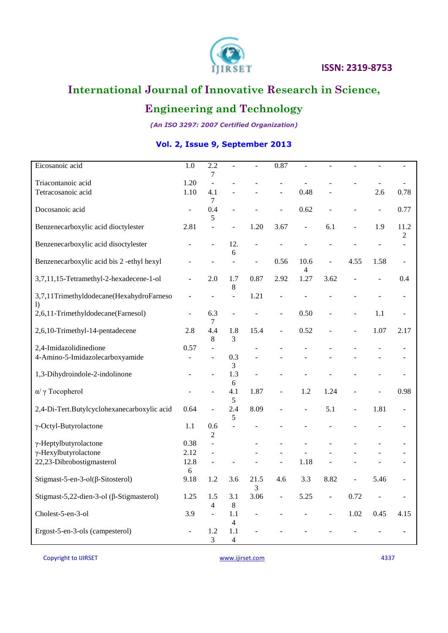

# **Engineering and Technology**

*(An ISO 3297: 2007 Certified Organization)*

### **Vol. 2, Issue 9, September 2013**

| Eicosanoic acid                                  | 1.0                      | 2.2<br>7       | $\overline{a}$           |      | 0.87                     |                          |                          |                |      |                |
|--------------------------------------------------|--------------------------|----------------|--------------------------|------|--------------------------|--------------------------|--------------------------|----------------|------|----------------|
| Triacontanoic acid                               | 1.20                     | $\overline{a}$ |                          |      |                          |                          |                          |                |      |                |
| Tetracosanoic acid                               | 1.10                     | 4.1            |                          |      |                          | 0.48                     |                          |                | 2.6  | 0.78           |
|                                                  |                          | 7              |                          |      |                          |                          |                          |                |      |                |
| Docosanoic acid                                  |                          | 0.4            |                          |      | L.                       | 0.62                     |                          |                |      | 0.77           |
|                                                  | $\overline{\phantom{a}}$ |                |                          |      |                          |                          |                          |                |      |                |
|                                                  |                          | 5              |                          |      |                          |                          |                          |                |      |                |
| Benzenecarboxylic acid dioctylester              | 2.81                     | $\overline{a}$ | $\overline{a}$           | 1.20 | 3.67                     | $\Box$                   | 6.1                      | $\overline{a}$ | 1.9  | 11.2           |
|                                                  |                          |                |                          |      |                          |                          |                          |                |      | 2              |
| Benzenecarboxylic acid disoctylester             |                          |                | 12.                      |      |                          |                          |                          |                |      | $\overline{a}$ |
|                                                  |                          |                | 6                        |      |                          |                          |                          |                |      |                |
| Benzenecarboxylic acid bis 2-ethyl hexyl         |                          |                | L.                       |      | 0.56                     | 10.6                     | ÷,                       | 4.55           | 1.58 |                |
|                                                  |                          |                |                          |      |                          | 4                        |                          |                |      |                |
| 3,7,11,15-Tetramethyl-2-hexadecene-1-ol          | $\overline{a}$           | 2.0            | 1.7                      | 0.87 | 2.92                     | 1.27                     | 3.62                     |                |      | 0.4            |
|                                                  |                          |                | 8                        |      |                          |                          |                          |                |      |                |
| 3,7,11Trimethyldodecane(HexahydroFarneso         |                          |                | $\overline{a}$           | 1.21 |                          |                          |                          |                |      | $\sim$         |
|                                                  |                          |                |                          |      |                          |                          |                          |                |      |                |
| $\overline{1}$                                   |                          |                |                          |      |                          |                          |                          |                |      |                |
| 2,6,11-Trimethyldodecane(Farnesol)               | $\overline{a}$           | 6.3            |                          |      | $\blacksquare$           | 0.50                     |                          |                | 1.1  |                |
|                                                  |                          | $\overline{7}$ |                          |      |                          |                          |                          |                |      |                |
| 2,6,10-Trimethyl-14-pentadecene                  | 2.8                      | 4.4            | 1.8                      | 15.4 | $\blacksquare$           | 0.52                     |                          |                | 1.07 | 2.17           |
|                                                  |                          | $\,8\,$        | 3                        |      |                          |                          |                          |                |      |                |
| 2,4-Imidazolidinedione                           | 0.57                     | $\overline{a}$ |                          |      |                          |                          |                          |                |      |                |
| 4-Amino-5-Imidazolecarboxyamide                  |                          |                | 0.3                      |      |                          |                          |                          |                |      |                |
|                                                  |                          |                | 3                        |      |                          |                          |                          |                |      |                |
| 1,3-Dihydroindole-2-indolinone                   |                          |                | 1.3                      |      |                          |                          |                          |                |      |                |
|                                                  |                          |                | 6                        |      |                          |                          |                          |                |      |                |
|                                                  |                          |                |                          |      |                          |                          |                          |                |      |                |
| α/ γ Tocopherol                                  |                          |                | 4.1                      | 1.87 |                          | 1.2                      | 1.24                     |                |      | 0.98           |
|                                                  |                          |                | 5                        |      |                          |                          |                          |                |      |                |
| 2,4-Di-Tert.Butylcyclohexanecarboxylic acid      | 0.64                     | $\overline{a}$ | 2.4                      | 8.09 |                          | $\overline{\phantom{a}}$ | 5.1                      |                | 1.81 | $\overline{a}$ |
|                                                  |                          |                | 5                        |      |                          |                          |                          |                |      |                |
| γ-Octyl-Butyrolactone                            | 1.1                      | 0.6            | $\overline{a}$           |      |                          |                          |                          |                |      |                |
|                                                  |                          | 2              |                          |      |                          |                          |                          |                |      |                |
| γ-Heptylbutyrolactone                            | 0.38                     | $\overline{a}$ |                          |      |                          |                          |                          |                |      |                |
| $\gamma$ -Hexylbutyrolactone                     | 2.12                     |                |                          |      |                          |                          |                          |                |      |                |
|                                                  | 12.8                     |                |                          |      |                          | 1.18                     |                          |                |      |                |
| 22,23-Dibrobostigmasterol                        |                          |                |                          |      |                          |                          |                          |                |      |                |
|                                                  | 6                        |                |                          |      |                          |                          |                          |                |      |                |
| Stigmast-5-en-3-ol( $\beta$ -Sitosterol)         | 9.18                     | 1.2            | 3.6                      | 21.5 | 4.6                      | 3.3                      | 8.82                     |                | 5.46 |                |
|                                                  |                          |                |                          | 3    |                          |                          |                          |                |      |                |
| Stigmast-5,22-dien-3-ol ( $\beta$ -Stigmasterol) | 1.25                     | 1.5            | 3.1                      | 3.06 | $\overline{\phantom{a}}$ | 5.25                     | $\overline{\phantom{0}}$ | 0.72           |      |                |
|                                                  |                          | 4              | $\,8\,$                  |      |                          |                          |                          |                |      |                |
| Cholest-5-en-3-ol                                | 3.9                      | $\overline{a}$ | 1.1                      |      |                          |                          | ÷,                       | 1.02           | 0.45 | 4.15           |
|                                                  |                          |                | $\overline{\mathcal{L}}$ |      |                          |                          |                          |                |      |                |
| Ergost-5-en-3-ols (campesterol)                  |                          | 1.2            | 1.1                      |      |                          |                          |                          |                |      |                |
|                                                  |                          | 3              | 4                        |      |                          |                          |                          |                |      |                |
|                                                  |                          |                |                          |      |                          |                          |                          |                |      |                |

Copyright to IJIRSET **WWW.ijirset.com WWW.ijirset.com** 4337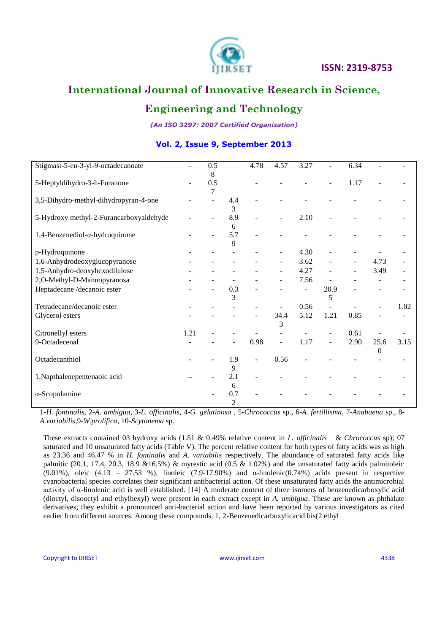

# **Engineering and Technology**

*(An ISO 3297: 2007 Certified Organization)*

| Stigmast-5-en-3-yl-9-octadecanoate         |      | 0.5<br>8 |                       | 4.78 | 4.57           | 3.27 |                          | 6.34 |                  |      |
|--------------------------------------------|------|----------|-----------------------|------|----------------|------|--------------------------|------|------------------|------|
| 5-Heptyldihydro-3-h-Furanone               |      | 0.5<br>7 |                       |      |                |      |                          | 1.17 |                  |      |
| 3,5-Dihydro-methyl-dihydropyran-4-one      |      |          | 4.4<br>3              |      |                |      |                          |      |                  |      |
| 5-Hydroxy methyl-2-Furancarboxyaldehyde    |      |          | 8.9<br>6              |      |                | 2.10 |                          |      |                  |      |
| $1,4$ -Benzenediol- $\alpha$ -hydroquinone |      |          | 5.7<br>9              |      |                |      |                          |      |                  |      |
| p-Hydroquinone                             |      |          |                       |      |                | 4.30 |                          |      |                  |      |
| 1,6-Anhydrodeoxyglucopyranose              |      |          |                       |      | $\overline{a}$ | 3.62 |                          |      | 4.73             |      |
| 1,5-Anhydro-deoxyhexodilulose              |      |          |                       |      |                | 4.27 |                          |      | 3.49             |      |
| 2,O-Methyl-D-Mannopyranosa                 |      |          |                       |      |                | 7.56 |                          |      |                  |      |
| Heptadecane /decanoic ester                |      |          | 0.3<br>3              |      |                |      | 20.9<br>5                |      |                  |      |
| Tetradecane/decanoic ester                 |      |          |                       |      |                | 0.56 |                          |      |                  | 1.02 |
| Glycerol esters                            |      |          |                       |      | 34.4<br>3      | 5.12 | 1.21                     | 0.85 |                  |      |
| Citronellyl esters                         | 1.21 |          |                       |      |                |      |                          | 0.61 |                  |      |
| 9-Octadecenal                              |      |          |                       | 0.98 |                | 1.17 | $\overline{\phantom{a}}$ | 2.90 | 25.6<br>$\Omega$ | 3.15 |
| Octadecanthiol                             |      |          | 1.9<br>9              | ÷    | 0.56           |      |                          |      |                  |      |
| 1, Napthalenepentenaoic acid               |      |          | 2.1<br>6              |      |                |      |                          |      |                  |      |
| $\alpha$ -Scopolamine                      |      |          | 0.7<br>$\overline{2}$ |      |                |      |                          |      |                  |      |

### **Vol. 2, Issue 9, September 2013**

1-*H. fontinalis*, 2*-A. ambigua*, 3-*L. officinalis*, 4-*G. gelatinosa* , 5-*Chrococcus* sp., 6-*A. fertillisma*, 7-*Anabaena* sp., 8- *A.variabilis*,9-*W.prolifica*, 10-*Scytonema* sp.

These extracts contained 03 hydroxy acids (1.51 & 0.49% relative content in *L. officinalis* & *Chrococcus* sp); 07 saturated and 10 unsaturated fatty acids (Table V). The percent relative content for both types of fatty acids was as high as 23.36 and 46.47 % in *H. fontinalis* and *A. variabilis* respectively. The abundance of saturated fatty acids like palmitic (20.1, 17.4, 20.3, 18.9 &16.5%) & myrestic acid (0.5 & 1.02%) and the unsaturated fatty acids palmitoleic (9.01%), oleic (4.13 – 27.53 %), linoleic (7.9-17.90%) and  $\alpha$ -linolenic(0.74%) acids present in respective cyanobacterial species correlates their significant antibacterial action. Of these unsaturated fatty acids the antimicrobial activity of α-linolenic acid is well established. [14] A moderate content of three isomers of benzenedicarboxylic acid (dioctyl, disooctyl and ethylhexyl) were present in each extract except in *A. ambigua*. These are known as phthalate derivatives; they exhibit a pronounced anti-bacterial action and have been reported by various investigators as cited earlier from different sources. Among these compounds, 1, 2-Benzenedicarboxylicacid bis(2 ethyl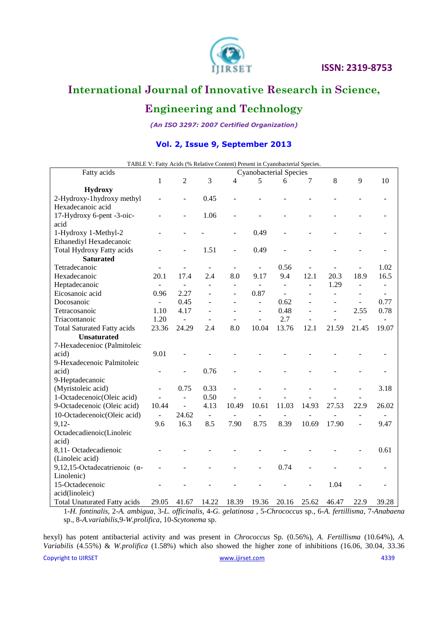

# **Engineering and Technology**

*(An ISO 3297: 2007 Certified Organization)*

### **Vol. 2, Issue 9, September 2013**

|                                       |                          | TABLE V: Fatty Acids (% Relative Content) Present in Cyanobacterial Species. |                          |                |                               |                          |                          |                |                          |                          |
|---------------------------------------|--------------------------|------------------------------------------------------------------------------|--------------------------|----------------|-------------------------------|--------------------------|--------------------------|----------------|--------------------------|--------------------------|
| Fatty acids                           |                          |                                                                              |                          |                | <b>Cyanobacterial Species</b> |                          |                          |                |                          |                          |
|                                       | $\mathbf{1}$             | $\overline{2}$                                                               | 3                        | $\overline{4}$ | 5                             | 6                        | 7                        | 8              | 9                        | 10                       |
| <b>Hydroxy</b>                        |                          |                                                                              |                          |                |                               |                          |                          |                |                          |                          |
| 2-Hydroxy-1hydroxy methyl             |                          |                                                                              | 0.45                     |                |                               |                          |                          |                |                          |                          |
| Hexadecanoic acid                     |                          |                                                                              |                          |                |                               |                          |                          |                |                          |                          |
| 17-Hydroxy 6-pent -3-oic-             |                          |                                                                              | 1.06                     |                |                               |                          |                          |                |                          |                          |
| acid                                  |                          |                                                                              |                          |                |                               |                          |                          |                |                          |                          |
| 1-Hydroxy 1-Methyl-2                  |                          |                                                                              |                          |                | 0.49                          |                          |                          |                |                          |                          |
| Ethanediyl Hexadecanoic               |                          |                                                                              |                          |                |                               |                          |                          |                |                          |                          |
| <b>Total Hydroxy Fatty acids</b>      |                          |                                                                              | 1.51                     | L,             | 0.49                          |                          |                          |                |                          |                          |
| <b>Saturated</b>                      |                          |                                                                              |                          |                |                               |                          |                          |                |                          |                          |
| Tetradecanoic                         |                          |                                                                              | $\overline{\phantom{a}}$ |                |                               | 0.56                     |                          |                | ÷,                       | 1.02                     |
| Hexadecanoic                          | 20.1                     | 17.4                                                                         | 2.4                      | 8.0            | 9.17                          | 9.4                      | 12.1                     | 20.3           | 18.9                     | 16.5                     |
| Heptadecanoic                         | $\blacksquare$           | $\equiv$                                                                     | $\blacksquare$           | $\overline{a}$ | $\overline{\phantom{a}}$      | $\overline{\phantom{a}}$ | $\overline{\phantom{a}}$ | 1.29           | $\overline{\phantom{a}}$ | $\overline{\phantom{a}}$ |
| Eicosanoic acid                       | 0.96                     | 2.27                                                                         |                          |                | 0.87                          | $\overline{a}$           |                          | $\overline{a}$ |                          |                          |
| Docosanoic                            | $\omega$ .               | 0.45                                                                         |                          | $\overline{a}$ | $\frac{1}{2}$                 | 0.62                     | L.                       | $\overline{a}$ | $\overline{\phantom{a}}$ | 0.77                     |
| Tetracosanoic                         | 1.10                     | 4.17                                                                         | $\overline{a}$           | L,             | ÷,                            | 0.48                     |                          | $\overline{a}$ | 2.55                     | 0.78                     |
| Triacontanoic                         | 1.20                     | $\overline{\phantom{a}}$                                                     | $\overline{a}$           | ÷,             | $\overline{a}$                | 2.7                      |                          | L              | $\overline{a}$           | $\overline{\phantom{a}}$ |
| <b>Total Saturated Fatty acids</b>    | 23.36                    | 24.29                                                                        | 2.4                      | 8.0            | 10.04                         | 13.76                    | 12.1                     | 21.59          | 21.45                    | 19.07                    |
| <b>Unsaturated</b>                    |                          |                                                                              |                          |                |                               |                          |                          |                |                          |                          |
| 7-Hexadecenioc (Palmitoleic           |                          |                                                                              |                          |                |                               |                          |                          |                |                          |                          |
| acid)                                 | 9.01                     |                                                                              |                          |                |                               |                          |                          |                |                          |                          |
| 9-Hexadecenoic Palmitoleic            |                          |                                                                              |                          |                |                               |                          |                          |                |                          |                          |
| acid)                                 | L,                       |                                                                              | 0.76                     |                |                               |                          |                          |                |                          |                          |
| 9-Heptadecanoic                       |                          |                                                                              |                          |                |                               |                          |                          |                |                          |                          |
| (Myristoleic acid)                    | $\overline{\phantom{a}}$ | 0.75                                                                         | 0.33                     |                |                               |                          |                          |                | $\overline{a}$           | 3.18                     |
| 1-Octadecenoic(Oleic acid)            |                          | $\blacksquare$                                                               | 0.50                     |                |                               |                          |                          |                |                          |                          |
| 9-Octadecenoic (Oleic acid)           | 10.44                    | $\blacksquare$                                                               | 4.13                     | 10.49          | 10.61                         | 11.03                    | 14.93                    | 27.53          | 22.9                     | 26.02                    |
| 10-Octadecenoic(Oleic acid)           | $\overline{a}$           | 24.62                                                                        | $\overline{\phantom{a}}$ | $\overline{a}$ | $\overline{a}$                | $\overline{a}$           | L,                       | L,             |                          |                          |
| $9,12-$                               | 9.6                      | 16.3                                                                         | 8.5                      | 7.90           | 8.75                          | 8.39                     | 10.69                    | 17.90          |                          | 9.47                     |
| Octadecadienoic(Linoleic              |                          |                                                                              |                          |                |                               |                          |                          |                |                          |                          |
| acid)                                 |                          |                                                                              |                          |                |                               |                          |                          |                |                          |                          |
| 8,11-Octadecadienoic                  |                          |                                                                              |                          |                |                               |                          |                          |                |                          | 0.61                     |
| (Linoleic acid)                       |                          |                                                                              |                          |                |                               |                          |                          |                |                          |                          |
| 9,12,15-Octadecatrienoic ( $\alpha$ - |                          |                                                                              |                          |                |                               | 0.74                     |                          |                |                          |                          |
| Linolenic)                            |                          |                                                                              |                          |                |                               |                          |                          |                |                          |                          |
| 15-Octadecenoic                       |                          |                                                                              |                          |                |                               |                          |                          | 1.04           |                          |                          |
| acid(linoleic)                        |                          |                                                                              |                          |                |                               |                          |                          |                |                          |                          |
| <b>Total Unaturated Fatty acids</b>   | 29.05                    | 41.67                                                                        | 14.22                    | 18.39          | 19.36                         | 20.16                    | 25.62                    | 46.47          | 22.9                     | 39.28                    |

1-*H. fontinalis*, 2*-A. ambigua*, 3-*L. officinalis*, 4-*G. gelatinosa* , 5-*Chrococcus* sp., 6-*A. fertillisma*, 7-*Anabaena* sp., 8-*A.variabilis*,9-*W.prolifica*, 10-*Scytonema* sp.

hexyl) has potent antibacterial activity and was present in *Chrococcus* Sp. (0.56%), *A. Fertillisma* (10.64%), *A. Variabilis* (4.55%) & *W.prolifica* (1.58%) which also showed the higher zone of inhibitions (16.06, 30.04, 33.36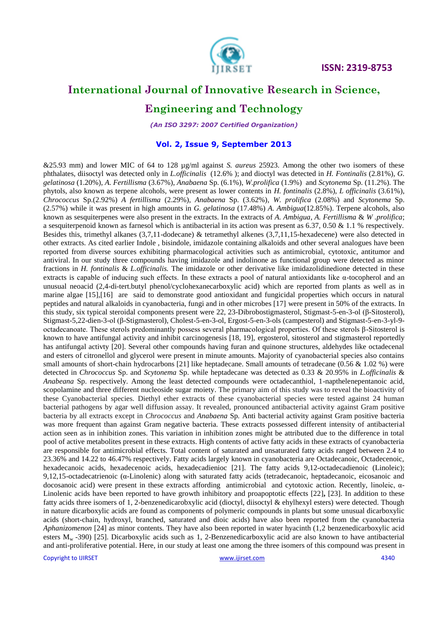

# **International Journal of Innovative Research in Science,**

### **Engineering and Technology**

*(An ISO 3297: 2007 Certified Organization)*

#### **Vol. 2, Issue 9, September 2013**

&25.93 mm) and lower MIC of 64 to 128 µg/ml against *S. aureus* 25923. Among the other two isomers of these phthalates, diisoctyl was detected only in *L.officinalis* (12.6% ); and dioctyl was detected in *H. Fontinalis* (2.81%), *G. gelatinosa* (1.20%), *A. Fertillisma* (3.67%), *Anabaena* Sp. (6.1%), *W.prolifica* (1.9%) and *Scytonema* Sp. (11.2%). The phytols, also known as terpene alcohols, were present as lower contents in *H. fontinalis* (2.8%), *L officinalis* (3.61%), *Chrococcus* Sp.(2.92%) *A fertillisma* (2.29%), *Anabaena* Sp. (3.62%), *W. prolifica* (2.08%) and *Scytonema* Sp. (2.57%) while it was present in high amounts in *G. gelatinosa* (17.48%) *A. Ambigua*(12.85%). Terpene alcohols, also known as sesquiterpenes were also present in the extracts. In the extracts of *A. Ambigua*, *A. Fertillisma* & *W .prolifica*; a sesquiterpenoid known as farnesol which is antibacterial in its action was present as 6.37, 0.50 & 1.1 % respectively. Besides this, trimethyl alkanes (3,7,11-dodecane) & tetramethyl alkenes (3,7,11,15-hexadecene) were also detected in other extracts. As cited earlier Indole , bisindole, imidazole containing alkaloids and other several analogues have been reported from diverse sources exhibiting pharmacological activities such as antimicrobial, cytotoxic, antitumor and antiviral. In our study three compounds having imidazole and indolinone as functional group were detected as minor fractions in *H. fontinalis* & *L.officinalis.* The imidazole or other derivative like imidazolidinedione detected in these extracts is capable of inducing such effects. In these extracts a pool of natural antioxidants like  $\alpha$ -tocopherol and an unusual neoacid (2,4-di-tert.butyl phenol/cyclohexanecarboxylic acid) which are reported from plants as well as in marine algae [15],[16] are said to demonstrate good antioxidant and fungicidal properties which occurs in natural peptides and natural alkaloids in cyanobacteria, fungi and in other microbes [17] were present in 50% of the extracts. In this study, six typical steroidal components present were 22, 23-Dibrobostigmasterol, Stigmast-5-en-3-ol (β-Sitosterol), Stigmast-5,22-dien-3-ol (β-Stigmasterol), Cholest-5-en-3-ol, Ergost-5-en-3-ols (campesterol) and Stigmast-5-en-3-yl-9 octadecanoate. These sterols predominantly possess several pharmacological properties. Of these sterols β-Sitosterol is known to have antifungal activity and inhibit carcinogenesis [18, 19], ergosterol, sitosterol and stigmasterol reportedly has antifungal activty [20]. Several other compounds having furan and quinone structures, aldehydes like octadecenal and esters of citronellol and glycerol were present in minute amounts. Majority of cyanobacterial species also contains small amounts of short-chain hydrocarbons [21] like heptadecane. Small amounts of tetradecane (0.56 & 1.02 %) were detected in *Chrococcus* Sp. and *Scytonema* Sp. while heptadecane was detected as 0.33 & 20.95% in *L.officinalis* & *Anabeana* Sp. respectively. Among the least detected compounds were octadecanthiol, 1-napthelenepentanoic acid, scopolamine and three different nucleoside sugar moiety. The primary aim of this study was to reveal the bioactivity of these Cyanobacterial species. Diethyl ether extracts of these cyanobacterial species were tested against 24 human bacterial pathogens by agar well diffusion assay. It revealed, pronounced antibacterial activity against Gram positive bacteria by all extracts except in *Chrococcus* and *Anabaena* Sp*.* Anti bacterial activity against Gram positive bacteria was more frequent than against Gram negative bacteria. These extracts possessed different intensity of antibacterial action seen as in inhibition zones. This variation in inhibition zones might be attributed due to the difference in total pool of active metabolites present in these extracts. High contents of active fatty acids in these extracts of cyanobacteria are responsible for antimicrobial effects. Total content of saturated and unsaturated fatty acids ranged between 2.4 to 23.36% and 14.22 to 46.47% respectively. Fatty acids largely known in cyanobacteria are Octadecanoic, Octadecenoic, hexadecanoic acids, hexadecenoic acids, hexadecadienioc [21]. The fatty acids 9,12-octadecadienoic (Linoleic); 9,12,15-octadecatrienoic (α-Linolenic) along with saturated fatty acids (tetradecanoic, heptadecanoic, eicosanoic and docosanoic acid) were present in these extracts affording antimicrobial and cytotoxic action. Recently, linoleic, α-Linolenic acids have been reported to have growth inhibitory and proapoptotic effects [22]**,** [23]. In addition to these fatty acids three isomers of 1, 2-benzenedicarobxylic acid (dioctyl, diisoctyl & ehylhexyl esters) were detected. Though in nature dicarboxylic acids are found as components of polymeric compounds in plants but some unusual dicarboxylic acids (short-chain, hydroxyl, branched, saturated and dioic acids) have also been reported from the cyanobacteria *Aphanizomenon* [24] as minor contents. They have also been reported in water hyacinth (1,2 benzenedicarboxylic acid esters  $M_w$  -390) [25]. Dicarboxylic acids such as 1, 2-Benzenedicarboxylic acid are also known to have antibacterial and anti-proliferative potential. Here, in our study at least one among the three isomers of this compound was present in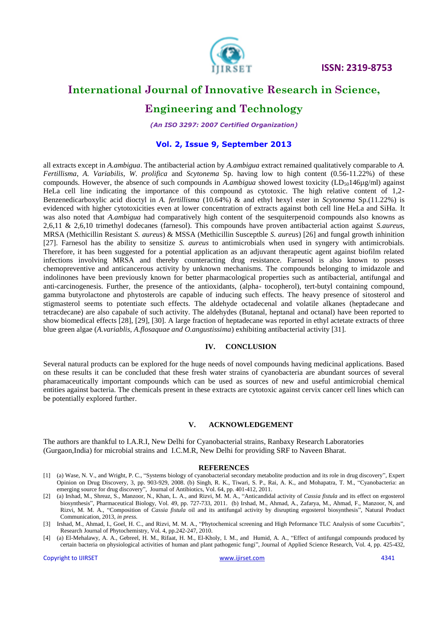

### **International Journal of Innovative Research in Science,**

### **Engineering and Technology**

*(An ISO 3297: 2007 Certified Organization)*

#### **Vol. 2, Issue 9, September 2013**

all extracts except in *A.ambigua*. The antibacterial action by *A.ambigua* extract remained qualitatively comparable to *A. Fertillisma*, *A. Variabilis*, *W. prolifica* and *Scytonema* Sp. having low to high content (0.56-11.22%) of these compounds. However, the absence of such compounds in *A.ambigua* showed lowest toxicity (LD<sub>50</sub>146µg/ml) against HeLa cell line indicating the importance of this compound as cytotoxic. The high relative content of 1,2- Benzenedicarboxylic acid dioctyl in *A. fertillisma* (10.64%) & and ethyl hexyl ester in *Scytonema* Sp.(11.22%) is evidenced with higher cytotoxicities even at lower concentration of extracts against both cell line HeLa and SiHa. It was also noted that *A.ambigua* had comparatively high content of the sesquiterpenoid compounds also knowns as 2,6,11 & 2,6,10 trimethyl dodecanes (farnesol). This compounds have proven antibacterial action against *S.aureus*, MRSA (Methicillin Resistant *S. aureus*) & MSSA (Methicillin Susceptble *S. aureus*) [26] and fungal growth inhinition [27]. Farnesol has the ability to sensitize *S. aureus* to antimicrobials when used in syngery with antimicrobials. Therefore, it has been suggested for a potential application as an adjuvant therapeutic agent against biofilm related infections involving MRSA and thereby counteracting drug resistance. Farnesol is also known to posses chemopreventive and anticancerous activity by unknown mechanisms. The compounds belonging to imidazole and indolinones have been previously known for better pharmacological properties such as antibacterial, antifungal and anti-carcinogenesis. Further, the presence of the antioxidants, (alpha- tocopherol), tert-butyl containing compound, gamma butyrolactone and phytosterols are capable of inducing such effects. The heavy presence of sitosterol and stigmasterol seems to potentiate such effects. The aldehyde octadecenal and volatile alkanes (heptadecane and tetracdecane) are also capabale of such activity. The aldehydes (Butanal, heptanal and octanal) have been reported to show biomedical effects [28], [29], [30]. A large fraction of heptadecane was reported in ethyl actetate extracts of three blue green algae (*A.variablis, A.flosaquae and O.angustissima*) exhibiting antibacterial activity [31].

#### **IV. CONCLUSION**

Several natural products can be explored for the huge needs of novel compounds having medicinal applications. Based on these results it can be concluded that these fresh water strains of cyanobacteria are abundant sources of several pharamaceutically important compounds which can be used as sources of new and useful antimicrobial chemical entities against bacteria. The chemicals present in these extracts are cytotoxic against cervix cancer cell lines which can be potentially explored further.

#### **V. ACKNOWLEDGEMENT**

The authors are thankful to I.A.R.I, New Delhi for Cyanobacterial strains, Ranbaxy Research Laboratories (Gurgaon,India) for microbial strains and I.C.M.R, New Delhi for providing SRF to Naveen Bharat.

#### **REFERENCES**

- [1] (a) Wase, N. V., and Wright, P. C., "Systems biology of cyanobacterial secondary metabolite production and its role in drug discovery", Expert Opinion on Drug Discovery, 3, pp. 903-929, 2008. (b) Singh, R. K., Tiwari, S. P., Rai, A. K., and Mohapatra, T. M., "Cyanobacteria: an emerging source for drug discovery", Journal of Antibiotics, Vol. 64, pp. 401-412, 2011.
- [2] (a) Irshad, M., Shreaz, S., Manzoor, N., Khan, L. A., and Rizvi, M. M. A., "Anticandidal activity of *Cassia fistula* and its effect on ergosterol biosynthesis", Pharmaceutical Biology, Vol. 49, pp. 727-733, 2011. (b) Irshad, M., Ahmad, A., Zafarya, M., Ahmad, F., Manzoor, N, and Rizvi, M. M. A., "Composition of *Cassia fistula* oil and its antifungal activity by disrupting ergosterol biosynthesis", Natural Product Communication, 2013, *in press.*
- [3] Irshad, M., Ahmad, I., Goel, H. C., and Rizvi, M. M. A., "Phytochemical screening and High Peformance TLC Analysis of some Cucurbits", Research Journal of Phytochemistry, Vol. 4, pp.242-247, 2010.
- [4] (a) El-Mehalawy, A. A., Gebreel, H. M., Rifaat, H. M., El-Kholy, I. M., and Humid, A. A., "Effect of antifungal compounds produced by certain bacteria on physiological activities of human and plant pathogenic fungi", Journal of Applied Science Research, Vol. 4, pp. 425-432,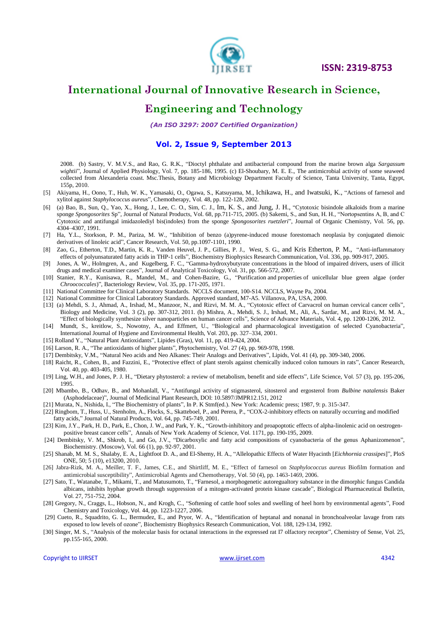

# **International Journal of Innovative Research in Science,**

### **Engineering and Technology**

*(An ISO 3297: 2007 Certified Organization)*

#### **Vol. 2, Issue 9, September 2013**

2008. (b) Sastry, V. M.V.S., and Rao, G. R.K., "Dioctyl phthalate and antibacterial compound from the marine brown alga *Sargassum wightii*", Journal of Applied Physiology, Vol. 7, pp. 185-186, 1995. (c) El-Shoubary, M. E. E., The antimicrobial activity of some seaweed collected from Alexanderia coast. Msc.Thesis, Botany and Microbiology Department Faculty of Science, Tanta University, Tanta, Egypt, 155p, 2010.

- [5] Akiyama, H., Oono, T., Huh, W. K., Yamasaki, O., Ogawa, S., Katsuyama, M., Ichikawa, H., and Iwatsuki, K., "Actions of farnesol and xylitol against *Staphylococcus aureus*", Chemotherapy, Vol. 48, pp. 122-128, 2002.
- [6] (a) Bao, B., Sun, Q., Yao, X., Hong, J., Lee, C. O., Sim, C. J., Im, K. S., and Jung, J. H., "Cytotoxic bisindole alkaloids from a marine sponge *Spongosorites* Sp", Journal of Natural Products, Vol. 68, pp.711-715, 2005. (b) Sakemi, S., and Sun, H. H., "Nortopsentins A, B, and C Cytotoxic and antifungal imidazolediyl bis(indoles) from the sponge *Spongosorites ruetzleri*", Journal of Organic Chemistry, Vol. 56, pp. 4304–4307, 1991.
- [7] Ha, Y.L., Storkson, P. M., Pariza, M. W*.*, "Inhibition of benzo (a)pyrene-induced mouse forestomach neoplasia by conjugated dienoic derivatives of linoleic acid", Cancer Research, Vol. 50, pp.1097-1101, 1990.
- [8] Zao, G., Etherton, T.D., Martin, K. R., Vanden Heuvel, J. P., Gillies, P. J., West, S. G., and Kris Etherton, P. M., "Anti-inflammatory effects of polyunsaturated fatty acids in THP-1 cells", Biochemistry Biophysics Research Communication, Vol. 336, pp. 909-917, 2005.
- [9] Jones, A. W., Holmgren, A., and Kugelberg, F. C., "Gamma-hydroxybutyrate concentrations in the blood of impaired drivers, users of illicit drugs and medical examiner cases", Journal of Analytical Toxicology, Vol. 31, pp. 566-572, 2007.
- [10] Stanier, R.Y., Kunisawa, R., Mandel, M., and Cohen-Bazire, G., "Purification and properties of unicellular blue green algae (order *Chroococcales*)", Bacteriology Review, Vol. 35, pp. 171-205, 1971.
- [11] National Committee for Clinical Laboratory Standards. NCCLS document, 100-S14. NCCLS, Wayne Pa, 2004.
- [12] National Committee for Clinical Laboratory Standards. Approved standard, M7-A5. Villanova, PA, USA, 2000.
- [13] (a) Mehdi, S. J., Ahmad, A., Irshad, M., Manzoor, N., and Rizvi, M. M. A., "Cytotoxic effect of Carvacrol on human cervical cancer cells", Biology and Medicine, Vol. 3 (2), pp. 307-312, 2011. (b) Mishra, A., Mehdi, S. J., Irshad, M., Ali, A., Sardar, M., and Rizvi, M. M. A., "Effect of biologically synthesize silver nanoparticles on human cancer cells", Science of Advance Materials, Vol. 4, pp. 1200-1206, 2012.
- [14] Mundt, S., kreitlow, S., Nowotny, A., and Effmert, U., "Biological and pharmacological investigation of selected Cyanobacteria", International Journal of Hygiene and Environmental Health, Vol. 203, pp. 327–334, 2001.
- [15] Rolland Y., "Natural Plant Antioxidants", Lipides (Gras), Vol. 11, pp. 419-424, 2004.
- [16] Larson, R. A., "The antioxidants of higher plants", Phytochemistry, Vol. 27 (4), pp. 969-978, 1998.
- [17] Dembitsky, V.M., "Natural Neo acids and Neo Alkanes: Their Analogs and Derivatives", Lipids, Vol. 41 (4), pp. 309-340, 2006.
- [18] Raicht, R., Cohen, B., and Fazzini, E., "Protective effect of plant sterols against chemically induced colon tumours in rats", Cancer Research, Vol. 40, pp. 403-405, 1980.
- [19] Ling, W.H., and Jones, P. J. H., "Dietary phytosterol: a review of metabolism, benefit and side effects", Life Science, Vol. 57 (3), pp. 195-206, 1995.
- [20] Mbambo, B., Odhav, B., and Mohanlall, V., "Antifungal activity of stigmasterol, sitosterol and ergosterol from *Bulbine natalensis* Baker (Asphodelaceae)", Journal of Medicinal Plant Research, DOI: 10.5897/JMPR12.151, 2012

[21] Murata, N., Nishida, I., "The Biochemistry of plants", In P. K Stmf(ed.). New York: Academic press; 1987, 9: p. 315-347.

- [22] Ringbom, T., Huss, U., Stenholm, A., Flocks, S., Skatteboel, P., and Perera, P., "COX-2-inhibitory effects on naturally occurring and modified fatty acids," Journal of Natural Products, Vol. 64, pp. 745-749, 2001.
- [23] Kim, J.Y., Park, H. D., Park, E., Chon, J. W., and Park, Y. K., "Growth-inhibitory and proapoptotic effects of alpha-linolenic acid on oestrogenpositive breast cancer cells", Annals of New York Academy of Science, Vol. 1171, pp. 190-195, 2009.
- [24] Dembitsky, V. M., Shkrob, I., and Go, J.V., "Dicarboxylic and fatty acid compositions of cyanobacteria of the genus Aphanizomenon", Biochemistry. (Moscow), Vol. 66 (1), pp. 92-97, 2001.
- [25] Shanab, M. M. S., Shalaby, E. A., Lightfoot D. A., and El-Shemy, H. A., "Allelopathic Effects of Water Hyacinth [*Eichhornia crassipes*]", PloS ONE, 50; 5 (10), e13200, 2010.
- [26] Jabra-Rizk, M. A., Meiller, T. F., James, C.E., and Shirtliff, M. E., "Effect of farnesol on *Staphylococcus aureus* Biofilm formation and antimicrobial susceptibility", Antimicrobial Agents and Chemotherapy, Vol. 50 (4), pp. 1463-1469, 2006.
- [27] Sato, T., Watanabe, T., Mikami, T., and Matusumoto, T., "Farnesol, a morphogenetic autoregualtory substance in the dimorphic fungus Candida albicans, inhibits hyphae growth through suppression of a mitogen-activated protein kinase cascade", Biological Pharmaceutical Bulletin, Vol. 27, 751-752, 2004.
- [28] Gregory, N., Craggs, L., Hobson, N., and Krogh, C., "Softening of cattle hoof soles and swelling of heel horn by environmental agents", Food Chemistry and Toxicology, Vol. 44, pp. 1223-1227, 2006.
- [29] Cueto, R., Squadrito, G. L., Bermudez, E., and Pryor, W. A., "Identification of heptanal and nonanal in bronchoalveolar lavage from rats exposed to low levels of ozone", Biochemistry Biophysics Research Communication, Vol. 188, 129-134, 1992.
- [30] Singer, M. S., "Analysis of the molecular basis for octanal interactions in the expressed rat I7 olfactory receptor", Chemistry of Sense, Vol. 25, pp.155-165, 2000.